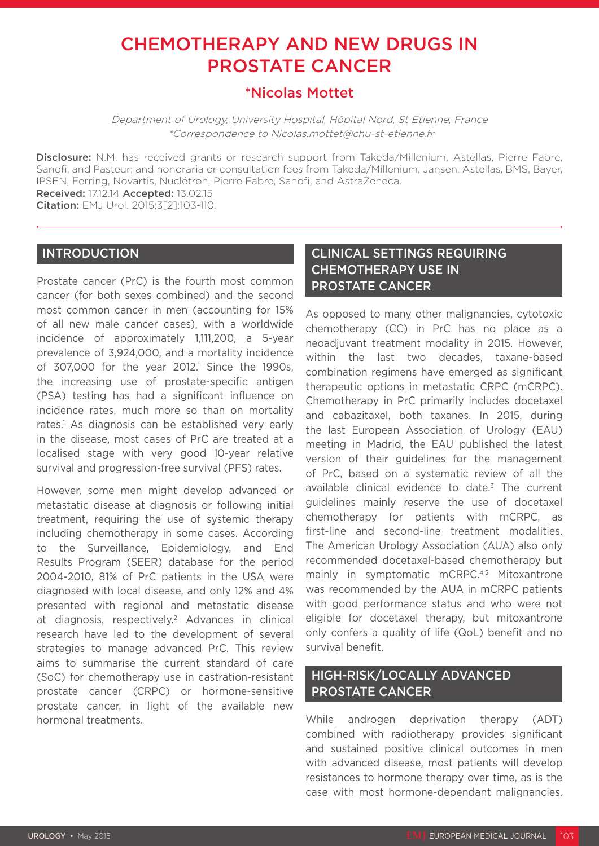# CHEMOTHERAPY AND NEW DRUGS IN PROSTATE CANCER

# \*Nicolas Mottet

Department of Urology, University Hospital, Hôpital Nord, St Etienne, France \*Correspondence to Nicolas.mottet@chu-st-etienne.fr

Disclosure: N.M. has received grants or research support from Takeda/Millenium, Astellas, Pierre Fabre, Sanofi, and Pasteur; and honoraria or consultation fees from Takeda/Millenium, Jansen, Astellas, BMS, Bayer, IPSEN, Ferring, Novartis, Nuclétron, Pierre Fabre, Sanofi, and AstraZeneca. Received: 17.12.14 Accepted: 13.02.15

Citation: EMJ Urol. 2015;3[2]:103-110.

### INTRODUCTION

Prostate cancer (PrC) is the fourth most common cancer (for both sexes combined) and the second most common cancer in men (accounting for 15% of all new male cancer cases), with a worldwide incidence of approximately 1,111,200, a 5-year prevalence of 3,924,000, and a mortality incidence of  $307,000$  for the year  $2012$ <sup>1</sup> Since the 1990s, the increasing use of prostate-specific antigen (PSA) testing has had a significant influence on incidence rates, much more so than on mortality rates.1 As diagnosis can be established very early in the disease, most cases of PrC are treated at a localised stage with very good 10-year relative survival and progression-free survival (PFS) rates.

However, some men might develop advanced or metastatic disease at diagnosis or following initial treatment, requiring the use of systemic therapy including chemotherapy in some cases. According to the Surveillance, Epidemiology, and End Results Program (SEER) database for the period 2004-2010, 81% of PrC patients in the USA were diagnosed with local disease, and only 12% and 4% presented with regional and metastatic disease at diagnosis, respectively.<sup>2</sup> Advances in clinical research have led to the development of several strategies to manage advanced PrC. This review aims to summarise the current standard of care (SoC) for chemotherapy use in castration-resistant prostate cancer (CRPC) or hormone-sensitive prostate cancer, in light of the available new hormonal treatments.

# CLINICAL SETTINGS REQUIRING CHEMOTHERAPY USE IN PROSTATE CANCER

As opposed to many other malignancies, cytotoxic chemotherapy (CC) in PrC has no place as a neoadjuvant treatment modality in 2015. However, within the last two decades, taxane-based combination regimens have emerged as significant therapeutic options in metastatic CRPC (mCRPC). Chemotherapy in PrC primarily includes docetaxel and cabazitaxel, both taxanes. In 2015, during the last European Association of Urology (EAU) meeting in Madrid, the EAU published the latest version of their guidelines for the management of PrC, based on a systematic review of all the available clinical evidence to date.<sup>3</sup> The current guidelines mainly reserve the use of docetaxel chemotherapy for patients with mCRPC, as first-line and second-line treatment modalities. The American Urology Association (AUA) also only recommended docetaxel-based chemotherapy but mainly in symptomatic mCRPC.<sup>4,5</sup> Mitoxantrone was recommended by the AUA in mCRPC patients with good performance status and who were not eligible for docetaxel therapy, but mitoxantrone only confers a quality of life (QoL) benefit and no survival benefit.

# HIGH-RISK/LOCALLY ADVANCED PROSTATE CANCER

While androgen deprivation therapy (ADT) combined with radiotherapy provides significant and sustained positive clinical outcomes in men with advanced disease, most patients will develop resistances to hormone therapy over time, as is the case with most hormone-dependant malignancies.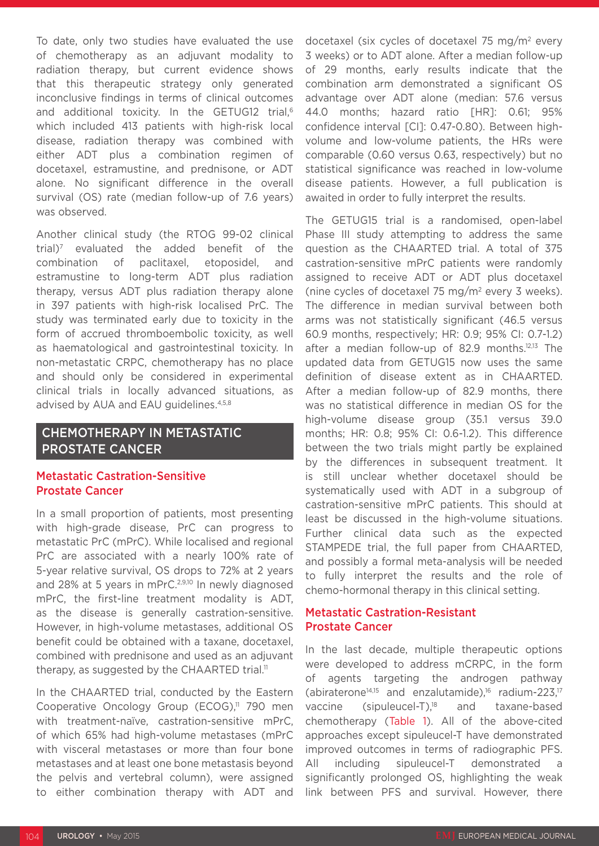To date, only two studies have evaluated the use of chemotherapy as an adjuvant modality to radiation therapy, but current evidence shows that this therapeutic strategy only generated inconclusive findings in terms of clinical outcomes and additional toxicity. In the GETUG12 trial,<sup>6</sup> which included 413 patients with high-risk local disease, radiation therapy was combined with either ADT plus a combination regimen of docetaxel, estramustine, and prednisone, or ADT alone. No significant difference in the overall survival (OS) rate (median follow-up of 7.6 years) was observed.

Another clinical study (the RTOG 99-02 clinical trial)7 evaluated the added benefit of the combination of paclitaxel, etoposidel, and estramustine to long-term ADT plus radiation therapy, versus ADT plus radiation therapy alone in 397 patients with high-risk localised PrC. The study was terminated early due to toxicity in the form of accrued thromboembolic toxicity, as well as haematological and gastrointestinal toxicity. In non-metastatic CRPC, chemotherapy has no place and should only be considered in experimental clinical trials in locally advanced situations, as advised by AUA and EAU guidelines.<sup>4,5,8</sup>

## CHEMOTHERAPY IN METASTATIC PROSTATE CANCER

### Metastatic Castration-Sensitive Prostate Cancer

In a small proportion of patients, most presenting with high-grade disease, PrC can progress to metastatic PrC (mPrC). While localised and regional PrC are associated with a nearly 100% rate of 5-year relative survival, OS drops to 72% at 2 years and 28% at 5 years in mPrC.<sup>2,9,10</sup> In newly diagnosed mPrC, the first-line treatment modality is ADT, as the disease is generally castration-sensitive. However, in high-volume metastases, additional OS benefit could be obtained with a taxane, docetaxel, combined with prednisone and used as an adjuvant therapy, as suggested by the CHAARTED trial.<sup>11</sup>

In the CHAARTED trial, conducted by the Eastern Cooperative Oncology Group (ECOG),<sup>11</sup> 790 men with treatment-naïve, castration-sensitive mPrC, of which 65% had high-volume metastases (mPrC with visceral metastases or more than four bone metastases and at least one bone metastasis beyond the pelvis and vertebral column), were assigned to either combination therapy with ADT and

docetaxel (six cycles of docetaxel 75 mg/m2 every 3 weeks) or to ADT alone. After a median follow-up of 29 months, early results indicate that the combination arm demonstrated a significant OS advantage over ADT alone (median: 57.6 versus 44.0 months; hazard ratio [HR]: 0.61; 95% confidence interval [CI]: 0.47-0.80). Between highvolume and low-volume patients, the HRs were comparable (0.60 versus 0.63, respectively) but no statistical significance was reached in low-volume disease patients. However, a full publication is awaited in order to fully interpret the results.

The GETUG15 trial is a randomised, open-label Phase III study attempting to address the same question as the CHAARTED trial. A total of 375 castration-sensitive mPrC patients were randomly assigned to receive ADT or ADT plus docetaxel (nine cycles of docetaxel 75 mg/m2 every 3 weeks). The difference in median survival between both arms was not statistically significant (46.5 versus 60.9 months, respectively; HR: 0.9; 95% CI: 0.7-1.2) after a median follow-up of 82.9 months.12,13 The updated data from GETUG15 now uses the same definition of disease extent as in CHAARTED. After a median follow-up of 82.9 months, there was no statistical difference in median OS for the high-volume disease group (35.1 versus 39.0 months; HR: 0.8; 95% CI: 0.6-1.2). This difference between the two trials might partly be explained by the differences in subsequent treatment. It is still unclear whether docetaxel should be systematically used with ADT in a subgroup of castration-sensitive mPrC patients. This should at least be discussed in the high-volume situations. Further clinical data such as the expected STAMPEDE trial, the full paper from CHAARTED, and possibly a formal meta-analysis will be needed to fully interpret the results and the role of chemo-hormonal therapy in this clinical setting.

### Metastatic Castration-Resistant Prostate Cancer

In the last decade, multiple therapeutic options were developed to address mCRPC, in the form of agents targeting the androgen pathway (abiraterone<sup>14,15</sup> and enzalutamide),<sup>16</sup> radium-223,<sup>17</sup> vaccine (sipuleucel-T),18 and taxane-based chemotherapy (Table 1). All of the above-cited approaches except sipuleucel-T have demonstrated improved outcomes in terms of radiographic PFS. All including sipuleucel-T demonstrated significantly prolonged OS, highlighting the weak link between PFS and survival. However, there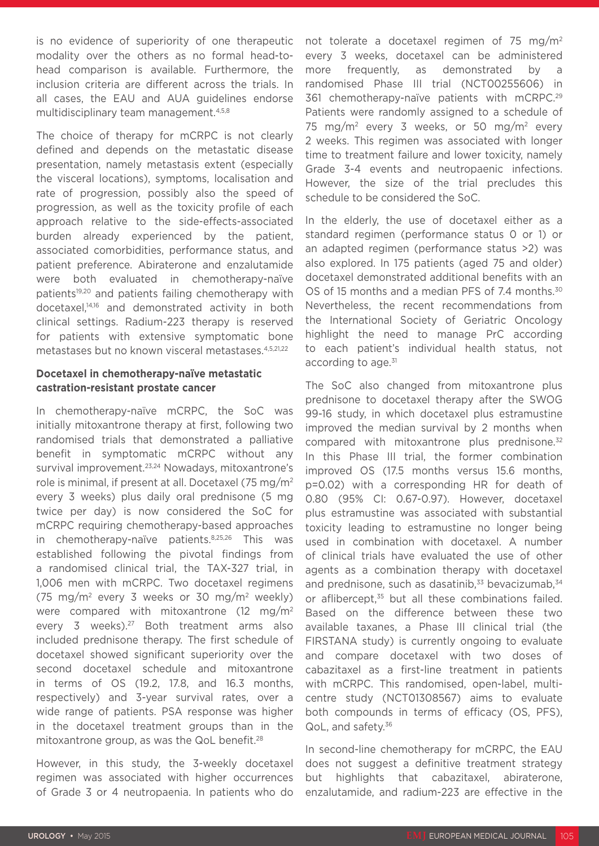is no evidence of superiority of one therapeutic modality over the others as no formal head-tohead comparison is available. Furthermore, the inclusion criteria are different across the trials. In all cases, the EAU and AUA guidelines endorse multidisciplinary team management.<sup>4,5,8</sup>

The choice of therapy for mCRPC is not clearly defined and depends on the metastatic disease presentation, namely metastasis extent (especially the visceral locations), symptoms, localisation and rate of progression, possibly also the speed of progression, as well as the toxicity profile of each approach relative to the side-effects-associated burden already experienced by the patient, associated comorbidities, performance status, and patient preference. Abiraterone and enzalutamide were both evaluated in chemotherapy-naïve patients<sup>19,20</sup> and patients failing chemotherapy with docetaxel,14,16 and demonstrated activity in both clinical settings. Radium-223 therapy is reserved for patients with extensive symptomatic bone metastases but no known visceral metastases.4,5,21,22

### **Docetaxel in chemotherapy-naïve metastatic castration-resistant prostate cancer**

In chemotherapy-naïve mCRPC, the SoC was initially mitoxantrone therapy at first, following two randomised trials that demonstrated a palliative benefit in symptomatic mCRPC without any survival improvement.<sup>23,24</sup> Nowadays, mitoxantrone's role is minimal, if present at all. Docetaxel (75 mg/m2 every 3 weeks) plus daily oral prednisone (5 mg twice per day) is now considered the SoC for mCRPC requiring chemotherapy-based approaches in chemotherapy-naïve patients.8,25,26 This was established following the pivotal findings from a randomised clinical trial, the TAX-327 trial, in 1,006 men with mCRPC. Two docetaxel regimens (75 mg/m2 every 3 weeks or 30 mg/m2 weekly) were compared with mitoxantrone  $(12 \text{ mg/m}^2)$ every 3 weeks).<sup>27</sup> Both treatment arms also included prednisone therapy. The first schedule of docetaxel showed significant superiority over the second docetaxel schedule and mitoxantrone in terms of OS (19.2, 17.8, and 16.3 months, respectively) and 3-year survival rates, over a wide range of patients. PSA response was higher in the docetaxel treatment groups than in the mitoxantrone group, as was the QoL benefit.<sup>28</sup>

However, in this study, the 3-weekly docetaxel regimen was associated with higher occurrences of Grade 3 or 4 neutropaenia. In patients who do

not tolerate a docetaxel regimen of 75 mg/m2 every 3 weeks, docetaxel can be administered more frequently, as demonstrated by a randomised Phase III trial (NCT00255606) in 361 chemotherapy-naïve patients with mCRPC.29 Patients were randomly assigned to a schedule of 75 mg/m<sup>2</sup> every 3 weeks, or 50 mg/m<sup>2</sup> every 2 weeks. This regimen was associated with longer time to treatment failure and lower toxicity, namely Grade 3-4 events and neutropaenic infections. However, the size of the trial precludes this schedule to be considered the SoC.

In the elderly, the use of docetaxel either as a standard regimen (performance status 0 or 1) or an adapted regimen (performance status >2) was also explored. In 175 patients (aged 75 and older) docetaxel demonstrated additional benefits with an OS of 15 months and a median PFS of 7.4 months.<sup>30</sup> Nevertheless, the recent recommendations from the International Society of Geriatric Oncology highlight the need to manage PrC according to each patient's individual health status, not according to age.<sup>31</sup>

The SoC also changed from mitoxantrone plus prednisone to docetaxel therapy after the SWOG 99-16 study, in which docetaxel plus estramustine improved the median survival by 2 months when compared with mitoxantrone plus prednisone.32 In this Phase III trial, the former combination improved OS (17.5 months versus 15.6 months, p=0.02) with a corresponding HR for death of 0.80 (95% CI: 0.67-0.97). However, docetaxel plus estramustine was associated with substantial toxicity leading to estramustine no longer being used in combination with docetaxel. A number of clinical trials have evaluated the use of other agents as a combination therapy with docetaxel and prednisone, such as dasatinib, $33$  bevacizumab, $34$ or aflibercept,<sup>35</sup> but all these combinations failed. Based on the difference between these two available taxanes, a Phase III clinical trial (the FIRSTANA study) is currently ongoing to evaluate and compare docetaxel with two doses of cabazitaxel as a first-line treatment in patients with mCRPC. This randomised, open-label, multicentre study (NCT01308567) aims to evaluate both compounds in terms of efficacy (OS, PFS), QoL, and safety.<sup>36</sup>

In second-line chemotherapy for mCRPC, the EAU does not suggest a definitive treatment strategy but highlights that cabazitaxel, abiraterone, enzalutamide, and radium-223 are effective in the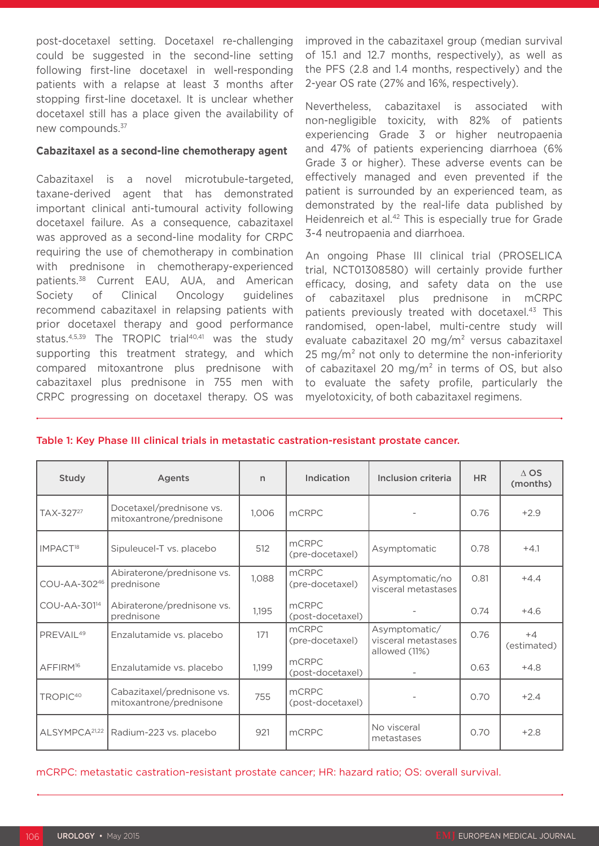post-docetaxel setting. Docetaxel re-challenging could be suggested in the second-line setting following first-line docetaxel in well-responding patients with a relapse at least 3 months after stopping first-line docetaxel. It is unclear whether docetaxel still has a place given the availability of new compounds.37

### **Cabazitaxel as a second-line chemotherapy agent**

Cabazitaxel is a novel microtubule-targeted, taxane-derived agent that has demonstrated important clinical anti-tumoural activity following docetaxel failure. As a consequence, cabazitaxel was approved as a second-line modality for CRPC requiring the use of chemotherapy in combination with prednisone in chemotherapy-experienced patients.38 Current EAU, AUA, and American Society of Clinical Oncology guidelines recommend cabazitaxel in relapsing patients with prior docetaxel therapy and good performance status.<sup>4,5,39</sup> The TROPIC trial<sup>40,41</sup> was the study supporting this treatment strategy, and which compared mitoxantrone plus prednisone with cabazitaxel plus prednisone in 755 men with CRPC progressing on docetaxel therapy. OS was improved in the cabazitaxel group (median survival of 15.1 and 12.7 months, respectively), as well as the PFS (2.8 and 1.4 months, respectively) and the 2-year OS rate (27% and 16%, respectively).

Nevertheless, cabazitaxel is associated with non-negligible toxicity, with 82% of patients experiencing Grade 3 or higher neutropaenia and 47% of patients experiencing diarrhoea (6% Grade 3 or higher). These adverse events can be effectively managed and even prevented if the patient is surrounded by an experienced team, as demonstrated by the real-life data published by Heidenreich et al.<sup>42</sup> This is especially true for Grade 3-4 neutropaenia and diarrhoea.

An ongoing Phase III clinical trial (PROSELICA trial, NCT01308580) will certainly provide further efficacy, dosing, and safety data on the use of cabazitaxel plus prednisone in mCRPC patients previously treated with docetaxel.<sup>43</sup> This randomised, open-label, multi-centre study will evaluate cabazitaxel 20 mg/m² versus cabazitaxel  $25 \text{ mg/m}^2$  not only to determine the non-inferiority of cabazitaxel 20 mg/m² in terms of OS, but also to evaluate the safety profile, particularly the myelotoxicity, of both cabazitaxel regimens.

| Study                     | <b>Agents</b>                                         | n     | Indication                       | Inclusion criteria                                    | H <sub>R</sub> | $\triangle$ OS<br>(months) |
|---------------------------|-------------------------------------------------------|-------|----------------------------------|-------------------------------------------------------|----------------|----------------------------|
| TAX-327 <sup>27</sup>     | Docetaxel/prednisone vs.<br>mitoxantrone/prednisone   | 1,006 | <b>mCRPC</b>                     |                                                       | 0.76           | $+2.9$                     |
| IMPACT <sup>18</sup>      | Sipuleucel-T vs. placebo                              | 512   | mCRPC<br>(pre-docetaxel)         | Asymptomatic                                          | 0.78           | $+4.1$                     |
| COU-AA-30246              | Abiraterone/prednisone vs.<br>prednisone              | 1,088 | mCRPC<br>(pre-docetaxel)         | Asymptomatic/no<br>visceral metastases                | 0.81           | $+4.4$                     |
| COU-AA-301 <sup>14</sup>  | Abiraterone/prednisone vs.<br>prednisone              | 1,195 | <b>mCRPC</b><br>(post-docetaxel) |                                                       | 0.74           | $+4.6$                     |
| PREVAIL <sup>49</sup>     | Enzalutamide vs. placebo                              | 171   | mCRPC<br>(pre-docetaxel)         | Asymptomatic/<br>visceral metastases<br>allowed (11%) | 0.76           | $+4$<br>(estimated)        |
| AFFIRM <sup>16</sup>      | Enzalutamide vs. placebo                              | 1,199 | <b>mCRPC</b><br>(post-docetaxel) |                                                       | 0.63           | $+4.8$                     |
| TROPIC <sup>40</sup>      | Cabazitaxel/prednisone vs.<br>mitoxantrone/prednisone | 755   | <b>mCRPC</b><br>(post-docetaxel) |                                                       | 0.70           | $+2.4$                     |
| ALSYMPCA <sup>21,22</sup> | Radium-223 vs. placebo                                | 921   | <b>mCRPC</b>                     | No visceral<br>metastases                             | 0.70           | $+2.8$                     |

#### Table 1: Key Phase III clinical trials in metastatic castration-resistant prostate cancer.

mCRPC: metastatic castration-resistant prostate cancer; HR: hazard ratio; OS: overall survival.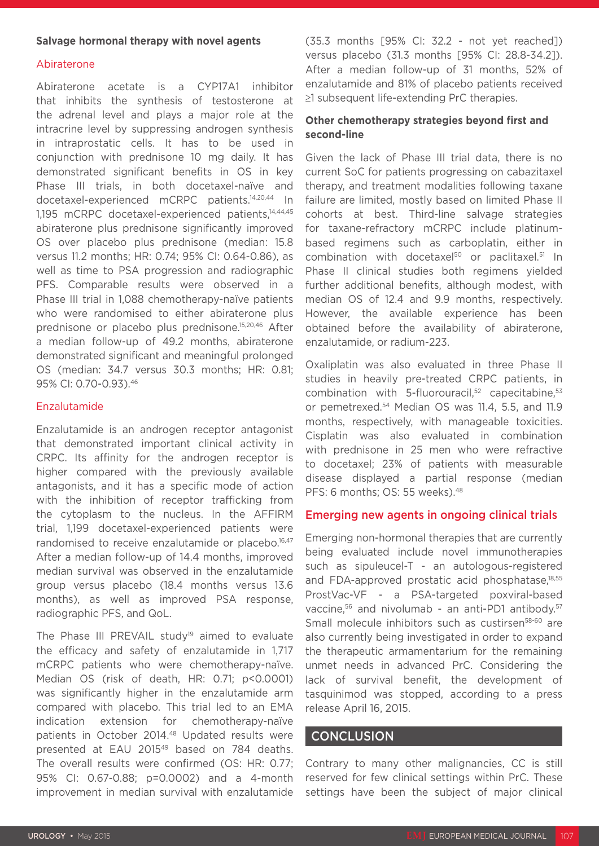### **Salvage hormonal therapy with novel agents**

### Abiraterone

Abiraterone acetate is a CYP17A1 inhibitor that inhibits the synthesis of testosterone at the adrenal level and plays a major role at the intracrine level by suppressing androgen synthesis in intraprostatic cells. It has to be used in conjunction with prednisone 10 mg daily. It has demonstrated significant benefits in OS in key Phase III trials, in both docetaxel-naïve and docetaxel-experienced mCRPC patients.14,20,44 In 1,195 mCRPC docetaxel-experienced patients,<sup>14,44,45</sup> abiraterone plus prednisone significantly improved OS over placebo plus prednisone (median: 15.8 versus 11.2 months; HR: 0.74; 95% CI: 0.64-0.86), as well as time to PSA progression and radiographic PFS. Comparable results were observed in a Phase III trial in 1,088 chemotherapy-naïve patients who were randomised to either abiraterone plus prednisone or placebo plus prednisone.15,20,46 After a median follow-up of 49.2 months, abiraterone demonstrated significant and meaningful prolonged OS (median: 34.7 versus 30.3 months; HR: 0.81; 95% CI: 0.70-0.93).46

### Enzalutamide

Enzalutamide is an androgen receptor antagonist that demonstrated important clinical activity in CRPC. Its affinity for the androgen receptor is higher compared with the previously available antagonists, and it has a specific mode of action with the inhibition of receptor trafficking from the cytoplasm to the nucleus. In the AFFIRM trial, 1,199 docetaxel-experienced patients were randomised to receive enzalutamide or placebo.<sup>16,47</sup> After a median follow-up of 14.4 months, improved median survival was observed in the enzalutamide group versus placebo (18.4 months versus 13.6 months), as well as improved PSA response, radiographic PFS, and QoL.

The Phase III PREVAIL study<sup>19</sup> aimed to evaluate the efficacy and safety of enzalutamide in 1,717 mCRPC patients who were chemotherapy-naïve. Median OS (risk of death, HR: 0.71; p<0.0001) was significantly higher in the enzalutamide arm compared with placebo. This trial led to an EMA indication extension for chemotherapy-naïve patients in October 2014.48 Updated results were presented at EAU 2015<sup>49</sup> based on 784 deaths. The overall results were confirmed (OS: HR: 0.77; 95% CI: 0.67-0.88; p=0.0002) and a 4-month improvement in median survival with enzalutamide (35.3 months [95% CI: 32.2 - not yet reached]) versus placebo (31.3 months [95% CI: 28.8-34.2]). After a median follow-up of 31 months, 52% of enzalutamide and 81% of placebo patients received ≥1 subsequent life-extending PrC therapies.

### **Other chemotherapy strategies beyond first and second-line**

Given the lack of Phase III trial data, there is no current SoC for patients progressing on cabazitaxel therapy, and treatment modalities following taxane failure are limited, mostly based on limited Phase II cohorts at best. Third-line salvage strategies for taxane-refractory mCRPC include platinumbased regimens such as carboplatin, either in combination with docetaxel<sup>50</sup> or paclitaxel.<sup>51</sup> In Phase II clinical studies both regimens yielded further additional benefits, although modest, with median OS of 12.4 and 9.9 months, respectively. However, the available experience has been obtained before the availability of abiraterone, enzalutamide, or radium-223.

Oxaliplatin was also evaluated in three Phase II studies in heavily pre-treated CRPC patients, in combination with 5-fluorouracil, $52$  capecitabine, $53$ or pemetrexed.54 Median OS was 11.4, 5.5, and 11.9 months, respectively, with manageable toxicities. Cisplatin was also evaluated in combination with prednisone in 25 men who were refractive to docetaxel; 23% of patients with measurable disease displayed a partial response (median PFS: 6 months; OS: 55 weeks).<sup>48</sup>

### Emerging new agents in ongoing clinical trials

Emerging non-hormonal therapies that are currently being evaluated include novel immunotherapies such as sipuleucel-T - an autologous-registered and FDA-approved prostatic acid phosphatase,<sup>18,55</sup> ProstVac-VF - a PSA-targeted poxviral-based vaccine,<sup>56</sup> and nivolumab - an anti-PD1 antibody.<sup>57</sup> Small molecule inhibitors such as custirsen<sup>58-60</sup> are also currently being investigated in order to expand the therapeutic armamentarium for the remaining unmet needs in advanced PrC. Considering the lack of survival benefit, the development of tasquinimod was stopped, according to a press release April 16, 2015.

### **CONCLUSION**

Contrary to many other malignancies, CC is still reserved for few clinical settings within PrC. These settings have been the subject of major clinical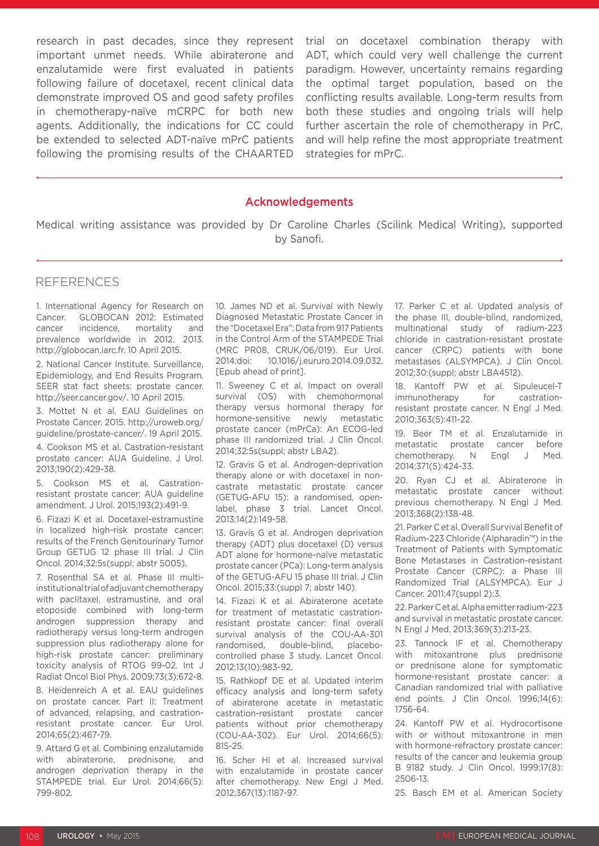research in past decades, since they represent important unmet needs. While abiraterone and enzalutamide were first evaluated in patients following failure of docetaxel, recent clinical data demonstrate improved OS and good safety profiles in chemotherapy-naïve mCRPC for both new agents. Additionally, the indications for CC could be extended to selected ADT-naïve mPrC patients following the promising results of the CHAARTED

trial on docetaxel combination therapy with ADT, which could very well challenge the current paradigm. However, uncertainty remains regarding the optimal target population, based on the conflicting results available. Long-term results from both these studies and ongoing trials will help further ascertain the role of chemotherapy in PrC, and will help refine the most appropriate treatment strategies for mPrC.

### Acknowledgements

Medical writing assistance was provided by Dr Caroline Charles (Scilink Medical Writing), supported by Sanofi.

### REFERENCES

1. International Agency for Research on Cancer. GLOBOCAN 2012: Estimated cancer incidence, mortality and prevalence worldwide in 2012. 2013. http://globocan.iarc.fr. 10 April 2015.

2. National Cancer Institute, Surveillance, Epidemiology, and End Results Program. SEER stat fact sheets: prostate cancer. http://seer.cancer.gov/. 10 April 2015.

3. Mottet N et al. EAU Guidelines on Prostate Cancer. 2015. http://uroweb.org/ guideline/prostate-cancer/. 19 April 2015.

4. Cookson MS et al. Castration-resistant prostate cancer: AUA Guideline. J Urol. 2013;190(2):429-38.

5. Cookson MS et al. Castrationresistant prostate cancer: AUA guideline amendment. J Urol. 2015;193(2):491-9.

6. Fizazi K et al. Docetaxel-estramustine in localized high-risk prostate cancer: results of the French Genitourinary Tumor Group GETUG 12 phase III trial. J Clin Oncol. 2014;32:5s(suppl; abstr 5005).

7. Rosenthal SA et al. Phase III multiinstitutional trial of adjuvant chemotherapy with paclitaxel, estramustine, and oral etoposide combined with long-term androgen suppression therapy and radiotherapy versus long-term androgen suppression plus radiotherapy alone for high-risk prostate cancer: preliminary toxicity analysis of RTOG 99-02. Int J Radiat Oncol Biol Phys. 2009;73(3):672-8.

8. Heidenreich A et al. EAU guidelines on prostate cancer. Part II: Treatment of advanced, relapsing, and castrationresistant prostate cancer. Eur Urol. 2014;65(2):467-79.

9. Attard G et al. Combining enzalutamide with abiraterone, prednisone, and androgen deprivation therapy in the STAMPEDE trial. Eur Urol. 2014;66(5): 799-802.

10. James ND et al. Survival with Newly Diagnosed Metastatic Prostate Cancer in the "Docetaxel Era": Data from 917 Patients in the Control Arm of the STAMPEDE Trial (MRC PR08, CRUK/06/019). Eur Urol. 2014;doi: 10.1016/j.eururo.2014.09.032. [Epub ahead of print].

11. Sweeney C et al. Impact on overall survival (OS) with chemohormonal therapy versus hormonal therapy for hormone-sensitive newly metastatic prostate cancer (mPrCa): An ECOG-led phase III randomized trial. J Clin Oncol. 2014;32:5s(suppl; abstr LBA2).

12. Gravis G et al. Androgen-deprivation therapy alone or with docetaxel in noncastrate metastatic prostate cancer (GETUG-AFU 15): a randomised, openlabel, phase 3 trial. Lancet Oncol. 2013;14(2):149-58.

13. Gravis G et al. Androgen deprivation therapy (ADT) plus docetaxel (D) versus ADT alone for hormone-naïve metastatic prostate cancer (PCa): Long-term analysis of the GETUG-AFU 15 phase III trial. J Clin Oncol. 2015;33:(suppl 7; abstr 140).

14. Fizazi K et al. Abiraterone acetate for treatment of metastatic castrationresistant prostate cancer: final overall survival analysis of the COU-AA-301 randomised, double-blind, placebocontrolled phase 3 study. Lancet Oncol. 2012;13(10):983-92.

15. Rathkopf DE et al. Updated interim efficacy analysis and long-term safety of abiraterone acetate in metastatic castration-resistant prostate cancer patients without prior chemotherapy (COU-AA-302). Eur Urol. 2014;66(5): 815-25.

16. Scher HI et al. Increased survival with enzalutamide in prostate cancer after chemotherapy. New Engl J Med. 2012;367(13):1187-97.

17. Parker C et al. Updated analysis of the phase III, double-blind, randomized, multinational study of radium-223 chloride in castration-resistant prostate cancer (CRPC) patients with bone metastases (ALSYMPCA). J Clin Oncol. 2012;30:(suppl; abstr LBA4512).

18. Kantoff PW et al. Sipuleucel-T immunotherapy for castrationresistant prostate cancer. N Engl J Med. 2010;363(5):411-22.

19. Beer TM et al. Enzalutamide in metastatic prostate cancer before chemotherapy. N Engl J Med. 2014;371(5):424-33.

20. Ryan CJ et al. Abiraterone in metastatic prostate cancer without previous chemotherapy. N Engl J Med. 2013;368(2):138-48.

21. Parker C et al. Overall Survival Benefit of Radium-223 Chloride (Alpharadin™) in the Treatment of Patients with Symptomatic Bone Metastases in Castration-resistant Prostate Cancer (CRPC): a Phase III Randomized Trial (ALSYMPCA). Eur J Cancer. 2011;47(suppl 2):3.

22. Parker C et al. Alpha emitter radium-223 and survival in metastatic prostate cancer. N Engl J Med. 2013;369(3):213-23.

23. Tannock IF et al. Chemotherapy with mitoxantrone plus prednisone or prednisone alone for symptomatic hormone-resistant prostate cancer: a Canadian randomized trial with palliative end points. J Clin Oncol. 1996;14(6): 1756-64.

24. Kantoff PW et al. Hydrocortisone with or without mitoxantrone in men with hormone-refractory prostate cancer: results of the cancer and leukemia group B 9182 study. J Clin Oncol. 1999;17(8): 2506-13.

25. Basch EM et al. American Society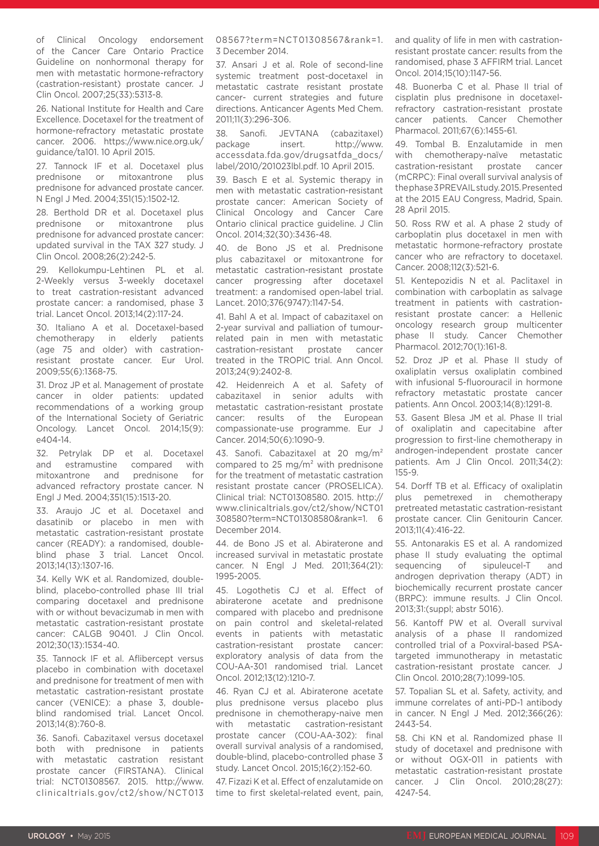of Clinical Oncology endorsement of the Cancer Care Ontario Practice Guideline on nonhormonal therapy for men with metastatic hormone-refractory (castration-resistant) prostate cancer. J Clin Oncol. 2007;25(33):5313-8.

26. National Institute for Health and Care Excellence. Docetaxel for the treatment of hormone-refractory metastatic prostate cancer. 2006. https://www.nice.org.uk/ guidance/ta101. 10 April 2015.

27. Tannock IF et al. Docetaxel plus prednisone or mitoxantrone plus prednisone for advanced prostate cancer. N Engl J Med. 2004;351(15):1502-12.

28. Berthold DR et al. Docetaxel plus prednisone or mitoxantrone plus prednisone for advanced prostate cancer: updated survival in the TAX 327 study. J Clin Oncol. 2008;26(2):242-5.

29. Kellokumpu-Lehtinen PL et al. 2-Weekly versus 3-weekly docetaxel to treat castration-resistant advanced prostate cancer: a randomised, phase 3 trial. Lancet Oncol. 2013;14(2):117-24.

30. Italiano A et al. Docetaxel-based chemotherapy in elderly patients (age 75 and older) with castrationresistant prostate cancer. Eur Urol. 2009;55(6):1368-75.

31. Droz JP et al. Management of prostate cancer in older patients: updated recommendations of a working group of the International Society of Geriatric Oncology. Lancet Oncol. 2014;15(9): e404-14.

32. Petrylak DP et al. Docetaxel and estramustine compared with mitoxantrone and prednisone for advanced refractory prostate cancer. N Engl J Med. 2004;351(15):1513-20.

33. Araujo JC et al. Docetaxel and dasatinib or placebo in men with metastatic castration-resistant prostate cancer (READY): a randomised, doubleblind phase 3 trial. Lancet Oncol. 2013;14(13):1307-16.

34. Kelly WK et al. Randomized, doubleblind, placebo-controlled phase III trial comparing docetaxel and prednisone with or without bevacizumab in men with metastatic castration-resistant prostate cancer: CALGB 90401. J Clin Oncol. 2012;30(13):1534-40.

35. Tannock IF et al. Aflibercept versus placebo in combination with docetaxel and prednisone for treatment of men with metastatic castration-resistant prostate cancer (VENICE): a phase 3, doubleblind randomised trial. Lancet Oncol. 2013;14(8):760-8.

36. Sanofi. Cabazitaxel versus docetaxel both with prednisone in patients with metastatic castration resistant prostate cancer (FIRSTANA). Clinical trial: NCT01308567. 2015. http://www. clinicaltrials.gov/ct2/show/NCT013 08567?term=NCT01308567&rank=1. 3 December 2014.

37. Ansari J et al. Role of second-line systemic treatment post-docetaxel in metastatic castrate resistant prostate cancer- current strategies and future directions. Anticancer Agents Med Chem. 2011;11(3):296-306.

38. Sanofi. JEVTANA (cabazitaxel) package insert. http://www. accessdata.fda.gov/drugsatfda\_docs/ label/2010/201023lbl.pdf. 10 April 2015.

39. Basch E et al. Systemic therapy in men with metastatic castration-resistant prostate cancer: American Society of Clinical Oncology and Cancer Care Ontario clinical practice guideline. J Clin Oncol. 2014;32(30):3436-48.

40. de Bono JS et al. Prednisone plus cabazitaxel or mitoxantrone for metastatic castration-resistant prostate cancer progressing after docetaxel treatment: a randomised open-label trial. Lancet. 2010;376(9747):1147-54.

41. Bahl A et al. Impact of cabazitaxel on 2-year survival and palliation of tumourrelated pain in men with metastatic castration-resistant prostate cancer treated in the TROPIC trial. Ann Oncol. 2013;24(9):2402-8.

42. Heidenreich A et al. Safety of cabazitaxel in senior adults with metastatic castration-resistant prostate cancer: results of the European compassionate-use programme. Eur J Cancer. 2014;50(6):1090-9.

43. Sanofi. Cabazitaxel at 20 mg/m<sup>2</sup> compared to 25 mg/ $m<sup>2</sup>$  with prednisone for the treatment of metastatic castration resistant prostate cancer (PROSELICA). Clinical trial: NCT01308580. 2015. http:// www.clinicaltrials.gov/ct2/show/NCT01 308580?term=NCT01308580&rank=1. 6 December 2014.

44. de Bono JS et al. Abiraterone and increased survival in metastatic prostate cancer. N Engl J Med. 2011;364(21): 1995-2005.

45. Logothetis CJ et al. Effect of abiraterone acetate and prednisone compared with placebo and prednisone on pain control and skeletal-related events in patients with metastatic castration-resistant prostate cancer: exploratory analysis of data from the COU-AA-301 randomised trial. Lancet Oncol. 2012;13(12):1210-7.

46. Ryan CJ et al. Abiraterone acetate plus prednisone versus placebo plus prednisone in chemotherapy-naive men with metastatic castration-resistant prostate cancer (COU-AA-302): final overall survival analysis of a randomised, double-blind, placebo-controlled phase 3 study. Lancet Oncol. 2015;16(2):152-60.

47. Fizazi K et al. Effect of enzalutamide on time to first skeletal-related event, pain, and quality of life in men with castrationresistant prostate cancer: results from the randomised, phase 3 AFFIRM trial. Lancet Oncol. 2014;15(10):1147-56.

48. Buonerba C et al. Phase II trial of cisplatin plus prednisone in docetaxelrefractory castration-resistant prostate cancer patients. Cancer Chemother Pharmacol. 2011;67(6):1455-61.

49. Tombal B. Enzalutamide in men with chemotherapy-naïve metastatic castration-resistant prostate cancer (mCRPC): Final overall survival analysis of the phase 3 PREVAIL study. 2015. Presented at the 2015 EAU Congress, Madrid, Spain. 28 April 2015.

50. Ross RW et al. A phase 2 study of carboplatin plus docetaxel in men with metastatic hormone-refractory prostate cancer who are refractory to docetaxel. Cancer. 2008;112(3):521-6.

51. Kentepozidis N et al. Paclitaxel in combination with carboplatin as salvage treatment in patients with castrationresistant prostate cancer: a Hellenic oncology research group multicenter phase II study. Cancer Chemother Pharmacol. 2012;70(1):161-8.

52. Droz JP et al. Phase II study of oxaliplatin versus oxaliplatin combined with infusional 5-fluorouracil in hormone refractory metastatic prostate cancer patients. Ann Oncol. 2003;14(8):1291-8.

53. Gasent Blesa JM et al. Phase II trial of oxaliplatin and capecitabine after progression to first-line chemotherapy in androgen-independent prostate cancer patients. Am J Clin Oncol. 2011;34(2): 155-9.

54. Dorff TB et al. Efficacy of oxaliplatin plus pemetrexed in chemotherapy pretreated metastatic castration-resistant prostate cancer. Clin Genitourin Cancer. 2013;11(4):416-22.

55. Antonarakis ES et al. A randomized phase II study evaluating the optimal sequencing of sipuleucel-T and androgen deprivation therapy (ADT) in biochemically recurrent prostate cancer (BRPC): immune results. J Clin Oncol. 2013;31:(suppl; abstr 5016).

56. Kantoff PW et al. Overall survival analysis of a phase II randomized controlled trial of a Poxviral-based PSAtargeted immunotherapy in metastatic castration-resistant prostate cancer. J Clin Oncol. 2010;28(7):1099-105.

57. Topalian SL et al. Safety, activity, and immune correlates of anti-PD-1 antibody in cancer. N Engl J Med. 2012;366(26): 2443-54.

58. Chi KN et al. Randomized phase II study of docetaxel and prednisone with or without OGX-011 in patients with metastatic castration-resistant prostate cancer. J Clin Oncol. 2010;28(27): 4247-54.